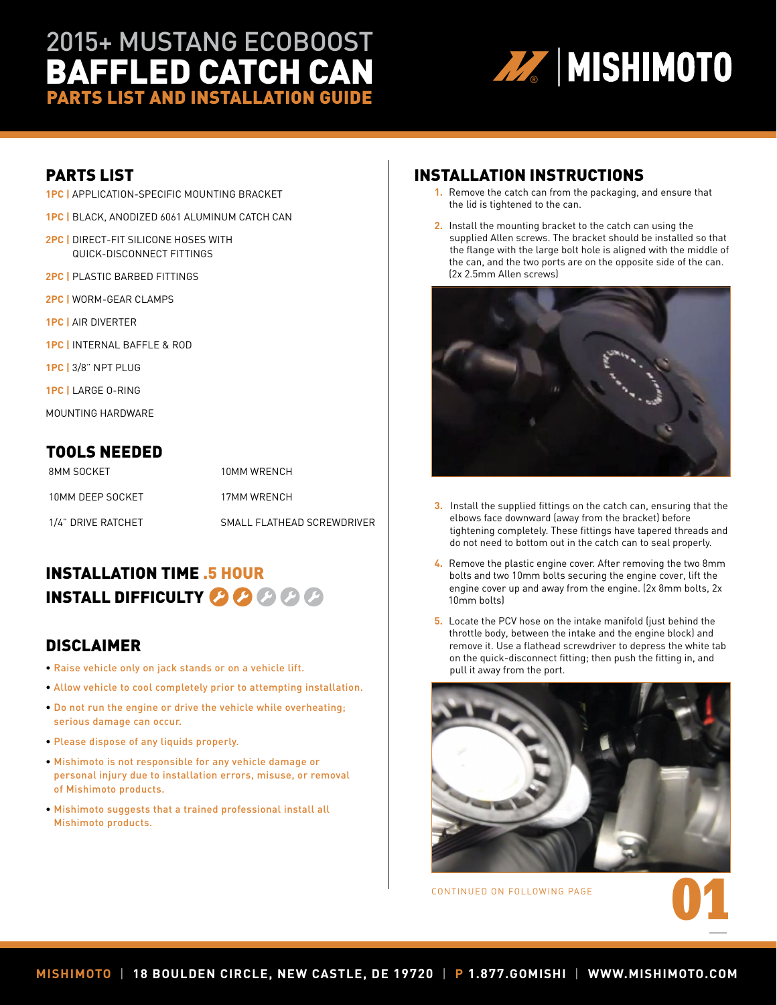# 2015+ MUSTANG ECOBOOST BAFFLED CATCH CAN PARTS LIST AND INSTALLATION GUIDE PARTS LIST AND INSTALLATION GUIDE



### PARTS LIST

- **1PC |** APPLICATION-SPECIFIC MOUNTING BRACKET
- **1PC |** BLACK, ANODIZED 6061 ALUMINUM CATCH CAN
- **2PC |** DIRECT-FIT SILICONE HOSES WITH QUICK-DISCONNECT FITTINGS
- **2PC |** PLASTIC BARBED FITTINGS
- **2PC |** WORM-GEAR CLAMPS
- **1PC |** AIR DIVERTER
- **1PC |** INTERNAL BAFFLE & ROD
- **1PC |** 3/8" NPT PLUG
- **1PC |** LARGE O-RING
- MOUNTING HARDWARE

#### TOOLS NEEDED

| 8MM SOCKET         | 10MM WRFNCH                |
|--------------------|----------------------------|
| 10MM DEEP SOCKET   | 17MM WRFNCH                |
| 1/4" DRIVE RATCHET | SMALL FLATHEAD SCREWDRIVER |

## INSTALLATION TIME .5 HOUR INSTALL DIFFICULTY **OOO** @ @ @

#### DISCLAIMER

- Raise vehicle only on jack stands or on a vehicle lift.
- Allow vehicle to cool completely prior to attempting installation.
- Do not run the engine or drive the vehicle while overheating; serious damage can occur.
- Please dispose of any liquids properly.
- Mishimoto is not responsible for any vehicle damage or personal injury due to installation errors, misuse, or removal of Mishimoto products.
- Mishimoto suggests that a trained professional install all Mishimoto products.

#### INSTALLATION INSTRUCTIONS

- **1.** Remove the catch can from the packaging, and ensure that the lid is tightened to the can.
- **2.** Install the mounting bracket to the catch can using the supplied Allen screws. The bracket should be installed so that the flange with the large bolt hole is aligned with the middle of the can, and the two ports are on the opposite side of the can. (2x 2.5mm Allen screws)



- **3.** Install the supplied fittings on the catch can, ensuring that the elbows face downward (away from the bracket) before tightening completely. These fittings have tapered threads and do not need to bottom out in the catch can to seal properly.
- **4.** Remove the plastic engine cover. After removing the two 8mm bolts and two 10mm bolts securing the engine cover, lift the engine cover up and away from the engine. (2x 8mm bolts, 2x 10mm bolts)
- **5.** Locate the PCV hose on the intake manifold (just behind the throttle body, between the intake and the engine block) and remove it. Use a flathead screwdriver to depress the white tab on the quick-disconnect fitting; then push the fitting in, and pull it away from the port.



CONTINUED ON FOLLOWING PAGE